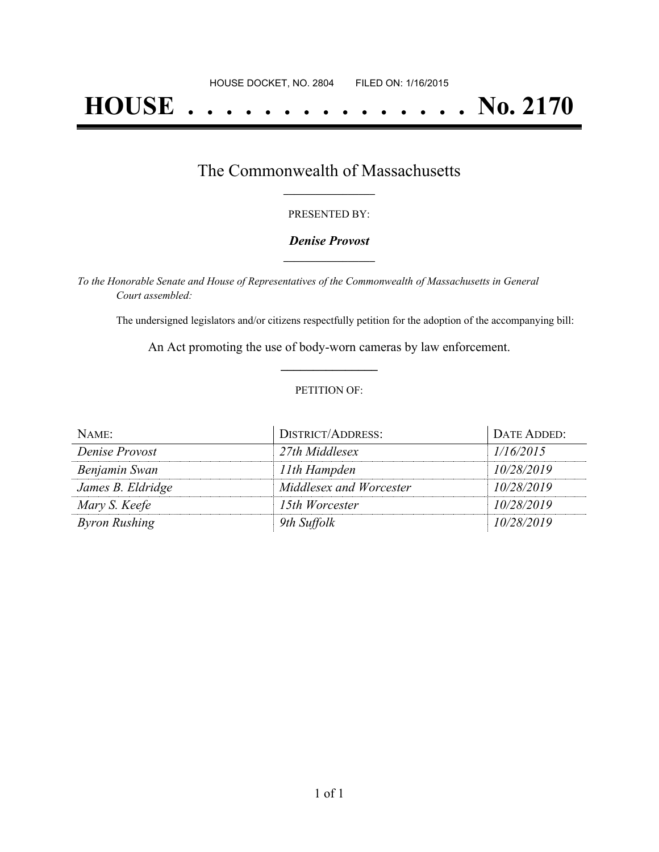# **HOUSE . . . . . . . . . . . . . . . No. 2170**

## The Commonwealth of Massachusetts **\_\_\_\_\_\_\_\_\_\_\_\_\_\_\_\_\_**

### PRESENTED BY:

## *Denise Provost* **\_\_\_\_\_\_\_\_\_\_\_\_\_\_\_\_\_**

*To the Honorable Senate and House of Representatives of the Commonwealth of Massachusetts in General Court assembled:*

The undersigned legislators and/or citizens respectfully petition for the adoption of the accompanying bill:

An Act promoting the use of body-worn cameras by law enforcement. **\_\_\_\_\_\_\_\_\_\_\_\_\_\_\_**

### PETITION OF:

| NAME:                | <b>DISTRICT/ADDRESS:</b> | DATE ADDED: |
|----------------------|--------------------------|-------------|
| Denise Provost       | 27th Middlesex           | 1/16/2015   |
| Benjamin Swan        | 11th Hampden             | 10/28/2019  |
| James B. Eldridge    | Middlesex and Worcester  | 10/28/2019  |
| Mary S. Keefe        | 15th Worcester           | 10/28/2019  |
| <b>Byron Rushing</b> | 9th Suffolk              | 10/28/2019  |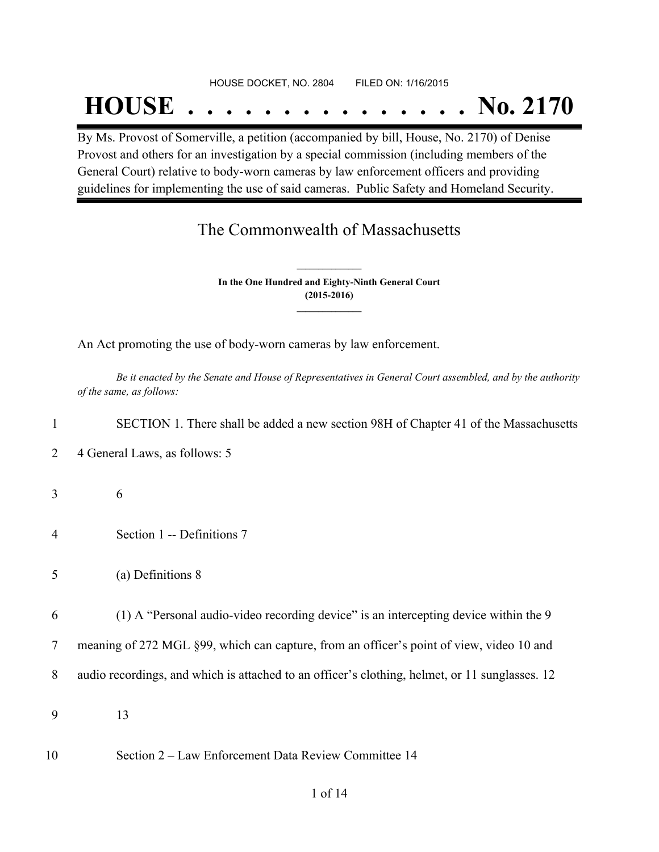#### HOUSE DOCKET, NO. 2804 FILED ON: 1/16/2015

# **HOUSE . . . . . . . . . . . . . . . No. 2170**

By Ms. Provost of Somerville, a petition (accompanied by bill, House, No. 2170) of Denise Provost and others for an investigation by a special commission (including members of the General Court) relative to body-worn cameras by law enforcement officers and providing guidelines for implementing the use of said cameras. Public Safety and Homeland Security.

## The Commonwealth of Massachusetts

**In the One Hundred and Eighty-Ninth General Court (2015-2016) \_\_\_\_\_\_\_\_\_\_\_\_\_\_\_**

**\_\_\_\_\_\_\_\_\_\_\_\_\_\_\_**

An Act promoting the use of body-worn cameras by law enforcement.

Be it enacted by the Senate and House of Representatives in General Court assembled, and by the authority *of the same, as follows:*

| $\mathbf{1}$   | SECTION 1. There shall be added a new section 98H of Chapter 41 of the Massachusetts           |
|----------------|------------------------------------------------------------------------------------------------|
| 2              | 4 General Laws, as follows: 5                                                                  |
| 3              | 6                                                                                              |
| $\overline{4}$ | Section 1 -- Definitions 7                                                                     |
| 5              | (a) Definitions 8                                                                              |
| 6              | (1) A "Personal audio-video recording device" is an intercepting device within the 9           |
| 7              | meaning of 272 MGL §99, which can capture, from an officer's point of view, video 10 and       |
| 8              | audio recordings, and which is attached to an officer's clothing, helmet, or 11 sunglasses. 12 |
| 9              | 13                                                                                             |
| 10             | Section 2 – Law Enforcement Data Review Committee 14                                           |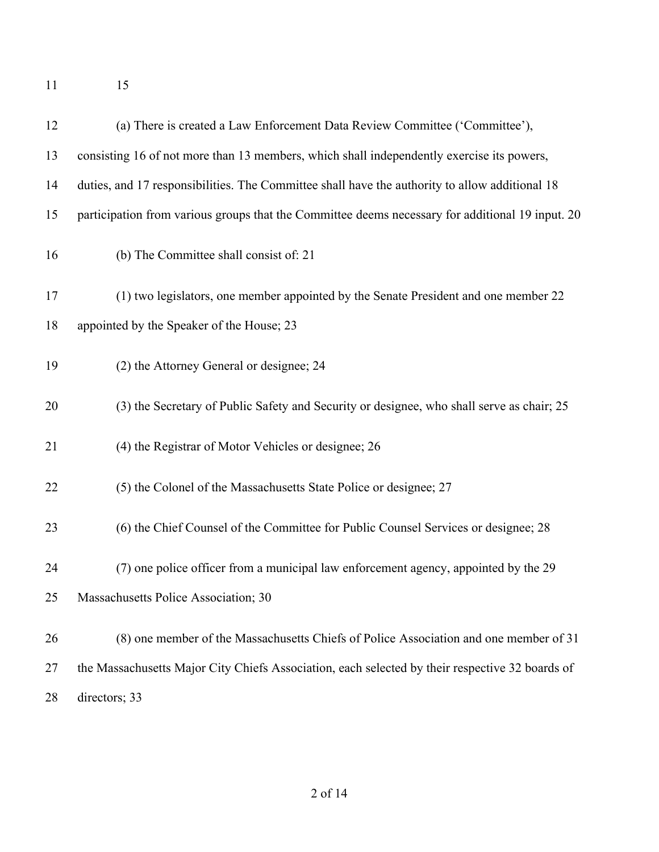15

| 12 | (a) There is created a Law Enforcement Data Review Committee ('Committee'),                      |
|----|--------------------------------------------------------------------------------------------------|
| 13 | consisting 16 of not more than 13 members, which shall independently exercise its powers,        |
| 14 | duties, and 17 responsibilities. The Committee shall have the authority to allow additional 18   |
| 15 | participation from various groups that the Committee deems necessary for additional 19 input. 20 |
| 16 | (b) The Committee shall consist of: 21                                                           |
| 17 | (1) two legislators, one member appointed by the Senate President and one member 22              |
| 18 | appointed by the Speaker of the House; 23                                                        |
| 19 | (2) the Attorney General or designee; 24                                                         |
| 20 | (3) the Secretary of Public Safety and Security or designee, who shall serve as chair; 25        |
| 21 | (4) the Registrar of Motor Vehicles or designee; 26                                              |
| 22 | (5) the Colonel of the Massachusetts State Police or designee; 27                                |
| 23 | (6) the Chief Counsel of the Committee for Public Counsel Services or designee; 28               |
| 24 | (7) one police officer from a municipal law enforcement agency, appointed by the 29              |
| 25 | Massachusetts Police Association; 30                                                             |
| 26 | (8) one member of the Massachusetts Chiefs of Police Association and one member of 31            |
| 27 | the Massachusetts Major City Chiefs Association, each selected by their respective 32 boards of  |
| 28 | directors; 33                                                                                    |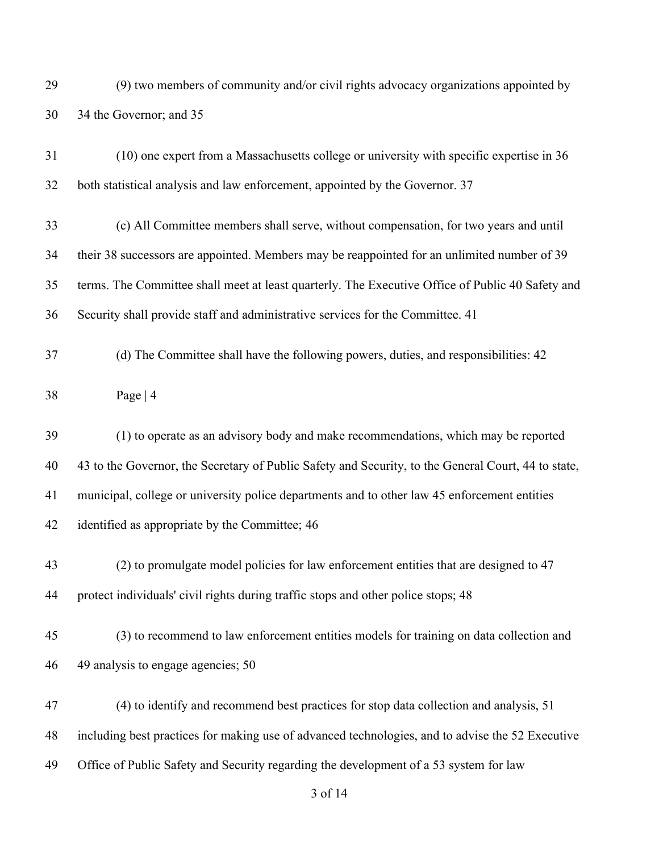(9) two members of community and/or civil rights advocacy organizations appointed by 34 the Governor; and 35

| 31 | (10) one expert from a Massachusetts college or university with specific expertise in 36            |
|----|-----------------------------------------------------------------------------------------------------|
| 32 | both statistical analysis and law enforcement, appointed by the Governor. 37                        |
| 33 | (c) All Committee members shall serve, without compensation, for two years and until                |
| 34 | their 38 successors are appointed. Members may be reappointed for an unlimited number of 39         |
| 35 | terms. The Committee shall meet at least quarterly. The Executive Office of Public 40 Safety and    |
| 36 | Security shall provide staff and administrative services for the Committee. 41                      |
| 37 | (d) The Committee shall have the following powers, duties, and responsibilities: 42                 |
| 38 | Page $ 4$                                                                                           |
| 39 | (1) to operate as an advisory body and make recommendations, which may be reported                  |
| 40 | 43 to the Governor, the Secretary of Public Safety and Security, to the General Court, 44 to state, |
| 41 | municipal, college or university police departments and to other law 45 enforcement entities        |
| 42 | identified as appropriate by the Committee; 46                                                      |
| 43 | (2) to promulgate model policies for law enforcement entities that are designed to 47               |
| 44 | protect individuals' civil rights during traffic stops and other police stops; 48                   |
| 45 | (3) to recommend to law enforcement entities models for training on data collection and             |
| 46 | 49 analysis to engage agencies; 50                                                                  |
| 47 | (4) to identify and recommend best practices for stop data collection and analysis, 51              |
| 48 | including best practices for making use of advanced technologies, and to advise the 52 Executive    |
| 49 | Office of Public Safety and Security regarding the development of a 53 system for law               |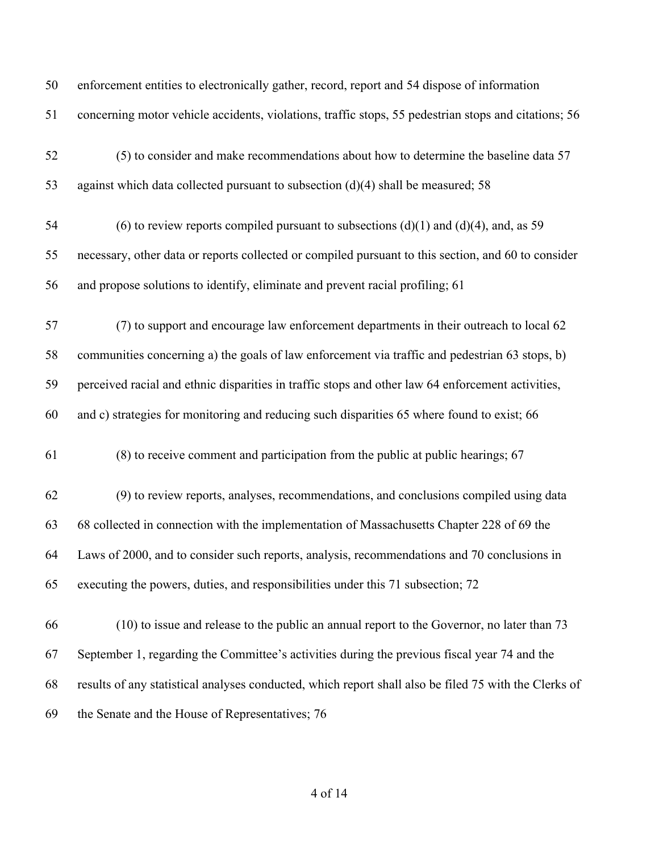| 50 | enforcement entities to electronically gather, record, report and 54 dispose of information           |
|----|-------------------------------------------------------------------------------------------------------|
| 51 | concerning motor vehicle accidents, violations, traffic stops, 55 pedestrian stops and citations; 56  |
| 52 | (5) to consider and make recommendations about how to determine the baseline data 57                  |
| 53 | against which data collected pursuant to subsection $(d)(4)$ shall be measured; 58                    |
| 54 | (6) to review reports compiled pursuant to subsections $(d)(1)$ and $(d)(4)$ , and, as 59             |
| 55 | necessary, other data or reports collected or compiled pursuant to this section, and 60 to consider   |
| 56 | and propose solutions to identify, eliminate and prevent racial profiling; 61                         |
| 57 | (7) to support and encourage law enforcement departments in their outreach to local 62                |
| 58 | communities concerning a) the goals of law enforcement via traffic and pedestrian 63 stops, b)        |
| 59 | perceived racial and ethnic disparities in traffic stops and other law 64 enforcement activities,     |
| 60 | and c) strategies for monitoring and reducing such disparities 65 where found to exist; 66            |
| 61 | (8) to receive comment and participation from the public at public hearings; 67                       |
| 62 | (9) to review reports, analyses, recommendations, and conclusions compiled using data                 |
| 63 | 68 collected in connection with the implementation of Massachusetts Chapter 228 of 69 the             |
| 64 | Laws of 2000, and to consider such reports, analysis, recommendations and 70 conclusions in           |
| 65 | executing the powers, duties, and responsibilities under this 71 subsection; 72                       |
| 66 | (10) to issue and release to the public an annual report to the Governor, no later than 73            |
| 67 | September 1, regarding the Committee's activities during the previous fiscal year 74 and the          |
| 68 | results of any statistical analyses conducted, which report shall also be filed 75 with the Clerks of |
| 69 | the Senate and the House of Representatives; 76                                                       |
|    |                                                                                                       |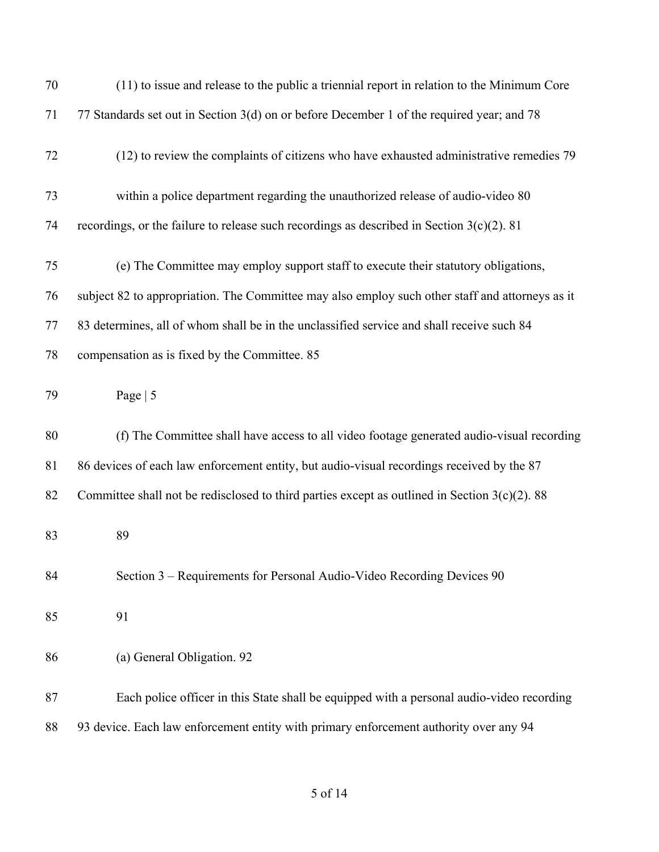| 70 | $(11)$ to issue and release to the public a triennial report in relation to the Minimum Core     |
|----|--------------------------------------------------------------------------------------------------|
| 71 | 77 Standards set out in Section 3(d) on or before December 1 of the required year; and 78        |
| 72 | (12) to review the complaints of citizens who have exhausted administrative remedies 79          |
| 73 | within a police department regarding the unauthorized release of audio-video 80                  |
| 74 | recordings, or the failure to release such recordings as described in Section $3(c)(2)$ . 81     |
| 75 | (e) The Committee may employ support staff to execute their statutory obligations,               |
| 76 | subject 82 to appropriation. The Committee may also employ such other staff and attorneys as it  |
| 77 | 83 determines, all of whom shall be in the unclassified service and shall receive such 84        |
| 78 | compensation as is fixed by the Committee. 85                                                    |
| 79 | Page $ 5$                                                                                        |
| 80 | (f) The Committee shall have access to all video footage generated audio-visual recording        |
| 81 | 86 devices of each law enforcement entity, but audio-visual recordings received by the 87        |
| 82 | Committee shall not be redisclosed to third parties except as outlined in Section $3(c)(2)$ . 88 |
| 83 | 89                                                                                               |
| 84 | Section 3 – Requirements for Personal Audio-Video Recording Devices 90                           |
| 85 | 91                                                                                               |
| 86 | (a) General Obligation. 92                                                                       |
| 87 | Each police officer in this State shall be equipped with a personal audio-video recording        |
| 88 | 93 device. Each law enforcement entity with primary enforcement authority over any 94            |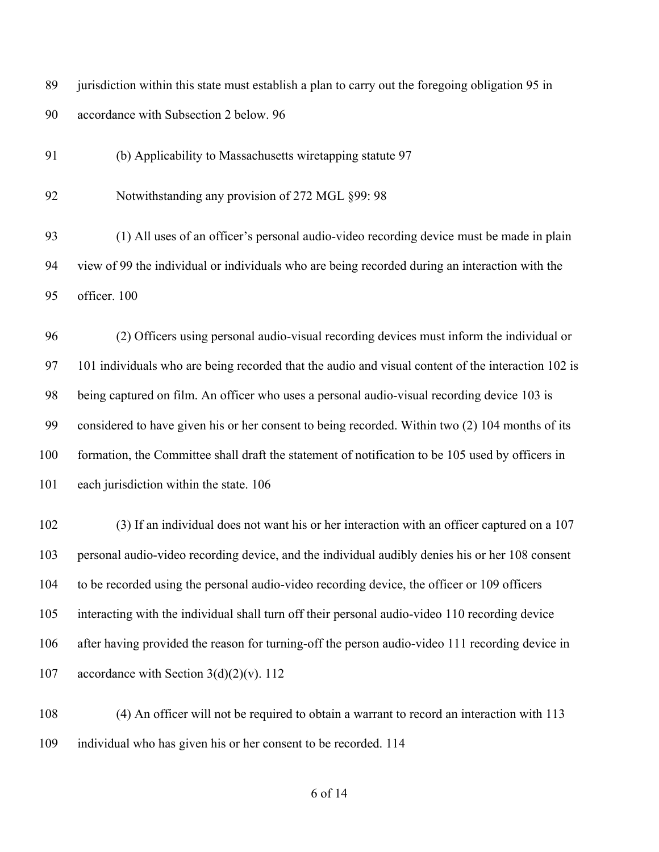jurisdiction within this state must establish a plan to carry out the foregoing obligation 95 in accordance with Subsection 2 below. 96

(b) Applicability to Massachusetts wiretapping statute 97

92 Notwithstanding any provision of 272 MGL §99: 98

 (1) All uses of an officer's personal audio-video recording device must be made in plain view of 99 the individual or individuals who are being recorded during an interaction with the officer. 100

 (2) Officers using personal audio-visual recording devices must inform the individual or 101 individuals who are being recorded that the audio and visual content of the interaction 102 is being captured on film. An officer who uses a personal audio-visual recording device 103 is considered to have given his or her consent to being recorded. Within two (2) 104 months of its formation, the Committee shall draft the statement of notification to be 105 used by officers in 101 each jurisdiction within the state. 106

 (3) If an individual does not want his or her interaction with an officer captured on a 107 personal audio-video recording device, and the individual audibly denies his or her 108 consent to be recorded using the personal audio-video recording device, the officer or 109 officers interacting with the individual shall turn off their personal audio-video 110 recording device after having provided the reason for turning-off the person audio-video 111 recording device in 107 accordance with Section  $3(d)(2)(v)$ . 112

 (4) An officer will not be required to obtain a warrant to record an interaction with 113 individual who has given his or her consent to be recorded. 114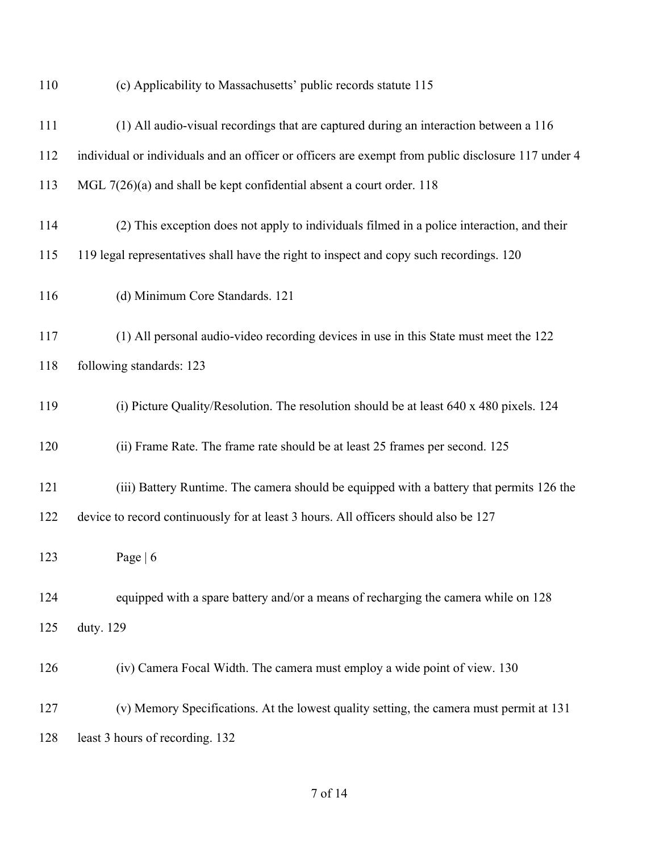| 110 | (c) Applicability to Massachusetts' public records statute 115                                     |
|-----|----------------------------------------------------------------------------------------------------|
| 111 | (1) All audio-visual recordings that are captured during an interaction between a 116              |
| 112 | individual or individuals and an officer or officers are exempt from public disclosure 117 under 4 |
| 113 | MGL $7(26)(a)$ and shall be kept confidential absent a court order. 118                            |
| 114 | (2) This exception does not apply to individuals filmed in a police interaction, and their         |
| 115 | 119 legal representatives shall have the right to inspect and copy such recordings. 120            |
| 116 | (d) Minimum Core Standards. 121                                                                    |
| 117 | (1) All personal audio-video recording devices in use in this State must meet the 122              |
| 118 | following standards: 123                                                                           |
| 119 | (i) Picture Quality/Resolution. The resolution should be at least 640 x 480 pixels. 124            |
| 120 | (ii) Frame Rate. The frame rate should be at least 25 frames per second. 125                       |
| 121 | (iii) Battery Runtime. The camera should be equipped with a battery that permits 126 the           |
| 122 | device to record continuously for at least 3 hours. All officers should also be 127                |
| 123 | Page $\vert 6 \vert$                                                                               |
| 124 | equipped with a spare battery and/or a means of recharging the camera while on 128                 |
| 125 | duty. 129                                                                                          |
| 126 | (iv) Camera Focal Width. The camera must employ a wide point of view. 130                          |
| 127 | (v) Memory Specifications. At the lowest quality setting, the camera must permit at 131            |
| 128 | least 3 hours of recording. 132                                                                    |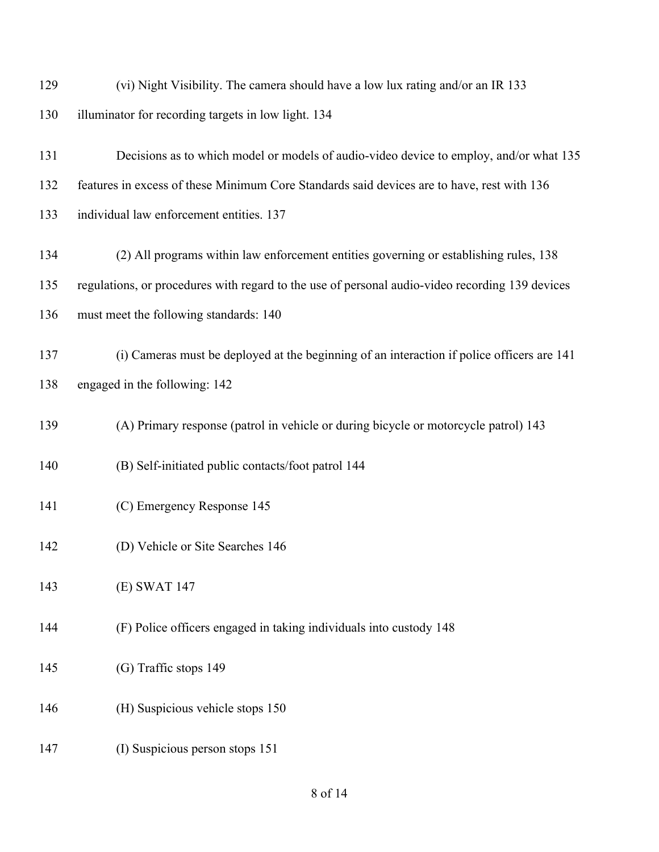| 129 | (vi) Night Visibility. The camera should have a low lux rating and/or an IR 133                 |
|-----|-------------------------------------------------------------------------------------------------|
| 130 | illuminator for recording targets in low light. 134                                             |
| 131 | Decisions as to which model or models of audio-video device to employ, and/or what 135          |
| 132 | features in excess of these Minimum Core Standards said devices are to have, rest with 136      |
| 133 | individual law enforcement entities. 137                                                        |
| 134 | (2) All programs within law enforcement entities governing or establishing rules, 138           |
| 135 | regulations, or procedures with regard to the use of personal audio-video recording 139 devices |
| 136 | must meet the following standards: 140                                                          |
| 137 | (i) Cameras must be deployed at the beginning of an interaction if police officers are 141      |
| 138 | engaged in the following: 142                                                                   |
| 139 | (A) Primary response (patrol in vehicle or during bicycle or motorcycle patrol) 143             |
| 140 | (B) Self-initiated public contacts/foot patrol 144                                              |
| 141 | (C) Emergency Response 145                                                                      |
| 142 | (D) Vehicle or Site Searches 146                                                                |
| 143 | (E) SWAT 147                                                                                    |
| 144 | (F) Police officers engaged in taking individuals into custody 148                              |
| 145 | (G) Traffic stops 149                                                                           |
| 146 | (H) Suspicious vehicle stops 150                                                                |
| 147 | (I) Suspicious person stops 151                                                                 |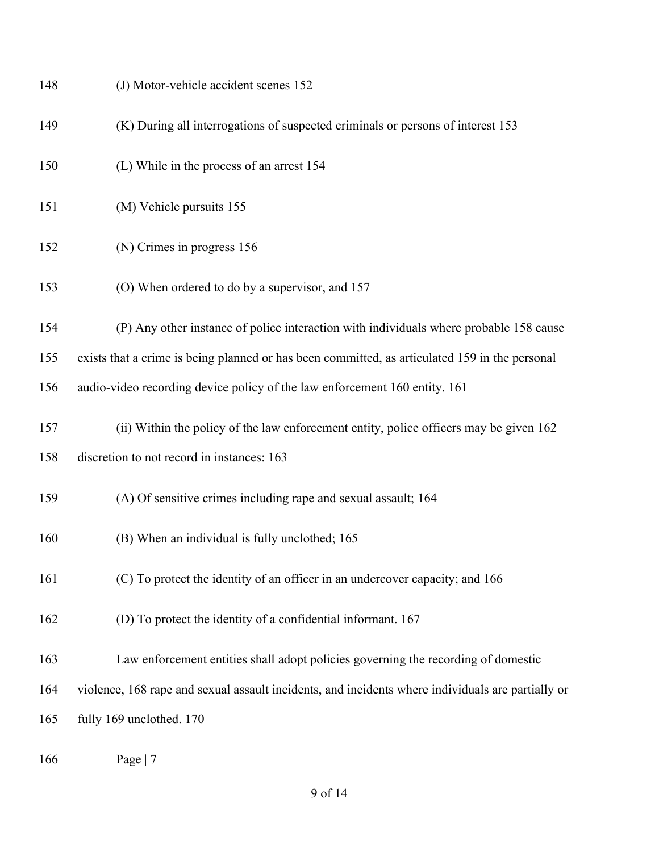| 148 | (J) Motor-vehicle accident scenes 152                                                             |
|-----|---------------------------------------------------------------------------------------------------|
| 149 | (K) During all interrogations of suspected criminals or persons of interest 153                   |
| 150 | (L) While in the process of an arrest 154                                                         |
| 151 | (M) Vehicle pursuits 155                                                                          |
| 152 | (N) Crimes in progress 156                                                                        |
| 153 | (O) When ordered to do by a supervisor, and 157                                                   |
| 154 | (P) Any other instance of police interaction with individuals where probable 158 cause            |
| 155 | exists that a crime is being planned or has been committed, as articulated 159 in the personal    |
| 156 | audio-video recording device policy of the law enforcement 160 entity. 161                        |
| 157 | (ii) Within the policy of the law enforcement entity, police officers may be given 162            |
| 158 | discretion to not record in instances: 163                                                        |
| 159 | (A) Of sensitive crimes including rape and sexual assault; 164                                    |
| 160 | (B) When an individual is fully unclothed; 165                                                    |
| 161 | (C) To protect the identity of an officer in an undercover capacity; and 166                      |
| 162 | (D) To protect the identity of a confidential informant. 167                                      |
| 163 | Law enforcement entities shall adopt policies governing the recording of domestic                 |
| 164 | violence, 168 rape and sexual assault incidents, and incidents where individuals are partially or |
| 165 | fully 169 unclothed. 170                                                                          |
|     |                                                                                                   |

Page | 7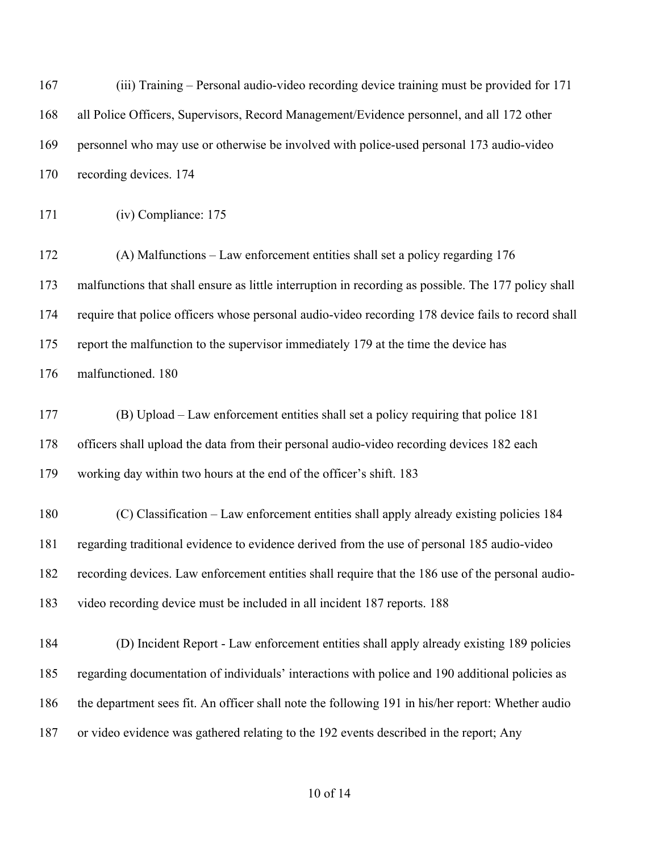(iii) Training – Personal audio-video recording device training must be provided for 171 all Police Officers, Supervisors, Record Management/Evidence personnel, and all 172 other personnel who may use or otherwise be involved with police-used personal 173 audio-video recording devices. 174 (iv) Compliance: 175 (A) Malfunctions – Law enforcement entities shall set a policy regarding 176 malfunctions that shall ensure as little interruption in recording as possible. The 177 policy shall require that police officers whose personal audio-video recording 178 device fails to record shall report the malfunction to the supervisor immediately 179 at the time the device has malfunctioned. 180 (B) Upload – Law enforcement entities shall set a policy requiring that police 181 officers shall upload the data from their personal audio-video recording devices 182 each working day within two hours at the end of the officer's shift. 183 (C) Classification – Law enforcement entities shall apply already existing policies 184 regarding traditional evidence to evidence derived from the use of personal 185 audio-video recording devices. Law enforcement entities shall require that the 186 use of the personal audio- video recording device must be included in all incident 187 reports. 188 (D) Incident Report - Law enforcement entities shall apply already existing 189 policies regarding documentation of individuals' interactions with police and 190 additional policies as the department sees fit. An officer shall note the following 191 in his/her report: Whether audio or video evidence was gathered relating to the 192 events described in the report; Any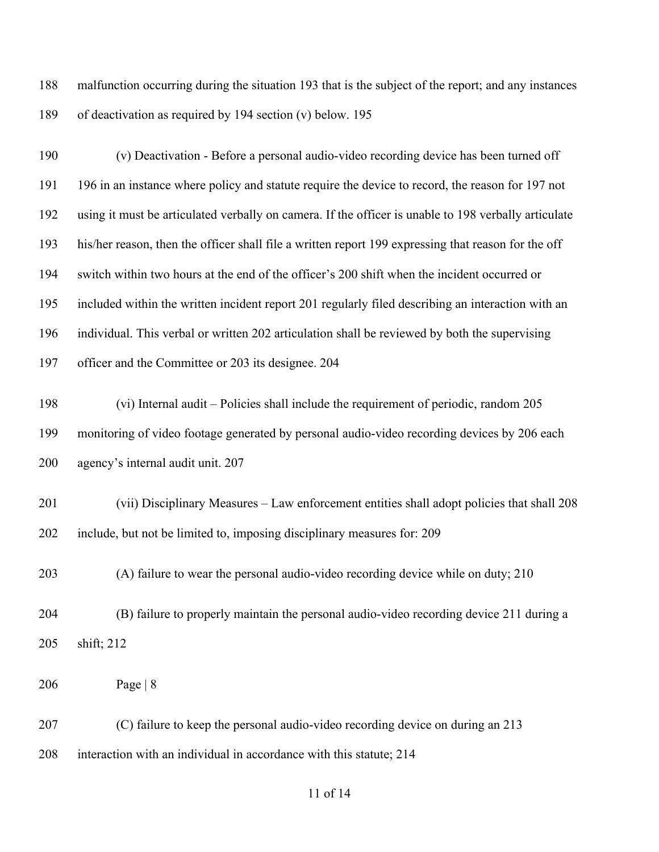malfunction occurring during the situation 193 that is the subject of the report; and any instances of deactivation as required by 194 section (v) below. 195

 (v) Deactivation - Before a personal audio-video recording device has been turned off 196 in an instance where policy and statute require the device to record, the reason for 197 not using it must be articulated verbally on camera. If the officer is unable to 198 verbally articulate his/her reason, then the officer shall file a written report 199 expressing that reason for the off switch within two hours at the end of the officer's 200 shift when the incident occurred or included within the written incident report 201 regularly filed describing an interaction with an individual. This verbal or written 202 articulation shall be reviewed by both the supervising officer and the Committee or 203 its designee. 204 (vi) Internal audit – Policies shall include the requirement of periodic, random 205 monitoring of video footage generated by personal audio-video recording devices by 206 each agency's internal audit unit. 207 (vii) Disciplinary Measures – Law enforcement entities shall adopt policies that shall 208 include, but not be limited to, imposing disciplinary measures for: 209 (A) failure to wear the personal audio-video recording device while on duty; 210 (B) failure to properly maintain the personal audio-video recording device 211 during a shift; 212 Page | 8 (C) failure to keep the personal audio-video recording device on during an 213

interaction with an individual in accordance with this statute; 214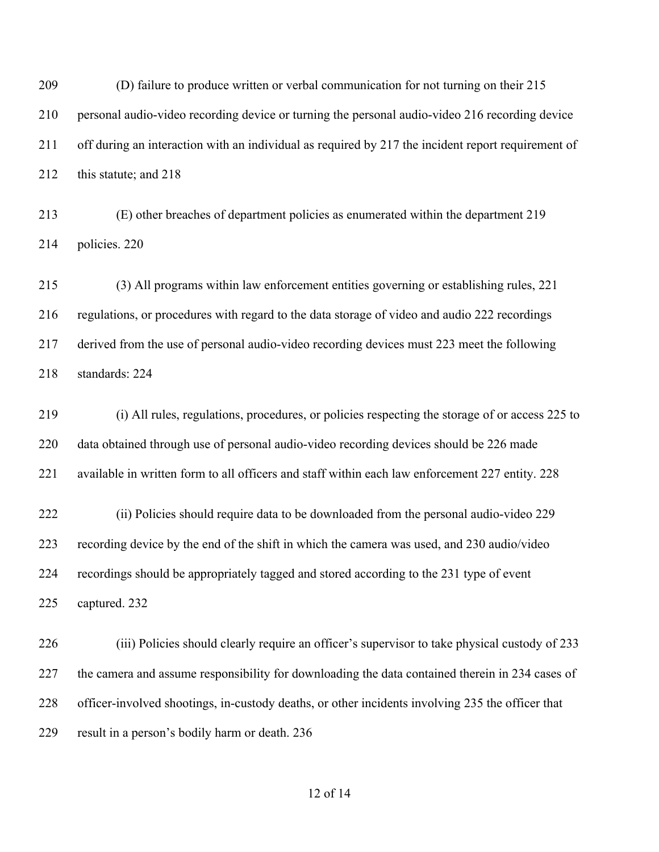(D) failure to produce written or verbal communication for not turning on their 215 personal audio-video recording device or turning the personal audio-video 216 recording device off during an interaction with an individual as required by 217 the incident report requirement of 212 this statute; and 218

 (E) other breaches of department policies as enumerated within the department 219 policies. 220

 (3) All programs within law enforcement entities governing or establishing rules, 221 regulations, or procedures with regard to the data storage of video and audio 222 recordings derived from the use of personal audio-video recording devices must 223 meet the following standards: 224

 (i) All rules, regulations, procedures, or policies respecting the storage of or access 225 to data obtained through use of personal audio-video recording devices should be 226 made available in written form to all officers and staff within each law enforcement 227 entity. 228

 (ii) Policies should require data to be downloaded from the personal audio-video 229 recording device by the end of the shift in which the camera was used, and 230 audio/video recordings should be appropriately tagged and stored according to the 231 type of event captured. 232

 (iii) Policies should clearly require an officer's supervisor to take physical custody of 233 227 the camera and assume responsibility for downloading the data contained therein in 234 cases of officer-involved shootings, in-custody deaths, or other incidents involving 235 the officer that result in a person's bodily harm or death. 236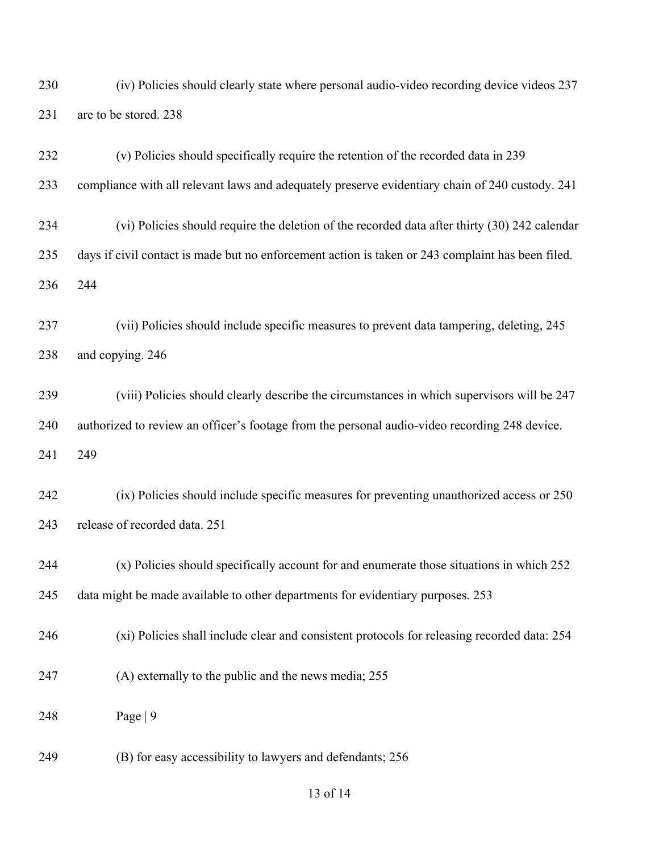(iv) Policies should clearly state where personal audio-video recording device videos 237 are to be stored. 238

- (v) Policies should specifically require the retention of the recorded data in 239 compliance with all relevant laws and adequately preserve evidentiary chain of 240 custody. 241 (vi) Policies should require the deletion of the recorded data after thirty (30) 242 calendar days if civil contact is made but no enforcement action is taken or 243 complaint has been filed. 244 (vii) Policies should include specific measures to prevent data tampering, deleting, 245 and copying. 246 (viii) Policies should clearly describe the circumstances in which supervisors will be 247 authorized to review an officer's footage from the personal audio-video recording 248 device. 249 (ix) Policies should include specific measures for preventing unauthorized access or 250 release of recorded data. 251 (x) Policies should specifically account for and enumerate those situations in which 252 data might be made available to other departments for evidentiary purposes. 253 (xi) Policies shall include clear and consistent protocols for releasing recorded data: 254 (A) externally to the public and the news media; 255 Page | 9
	- (B) for easy accessibility to lawyers and defendants; 256